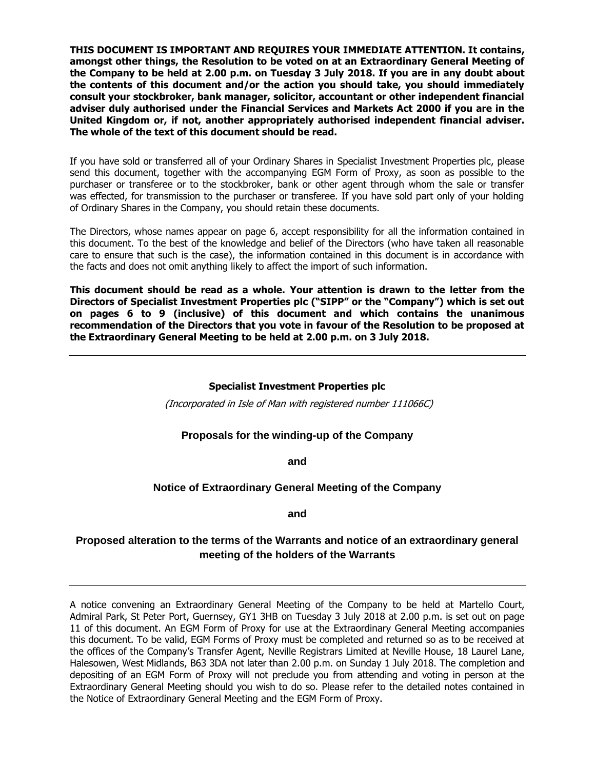**THIS DOCUMENT IS IMPORTANT AND REQUIRES YOUR IMMEDIATE ATTENTION. It contains, amongst other things, the Resolution to be voted on at an Extraordinary General Meeting of the Company to be held at 2.00 p.m. on Tuesday 3 July 2018. If you are in any doubt about the contents of this document and/or the action you should take, you should immediately consult your stockbroker, bank manager, solicitor, accountant or other independent financial adviser duly authorised under the Financial Services and Markets Act 2000 if you are in the United Kingdom or, if not, another appropriately authorised independent financial adviser. The whole of the text of this document should be read.**

If you have sold or transferred all of your Ordinary Shares in Specialist Investment Properties plc, please send this document, together with the accompanying EGM Form of Proxy, as soon as possible to the purchaser or transferee or to the stockbroker, bank or other agent through whom the sale or transfer was effected, for transmission to the purchaser or transferee. If you have sold part only of your holding of Ordinary Shares in the Company, you should retain these documents.

The Directors, whose names appear on page 6, accept responsibility for all the information contained in this document. To the best of the knowledge and belief of the Directors (who have taken all reasonable care to ensure that such is the case), the information contained in this document is in accordance with the facts and does not omit anything likely to affect the import of such information.

**This document should be read as a whole. Your attention is drawn to the letter from the Directors of Specialist Investment Properties plc ("SIPP" or the "Company") which is set out on pages 6 to 9 (inclusive) of this document and which contains the unanimous recommendation of the Directors that you vote in favour of the Resolution to be proposed at the Extraordinary General Meeting to be held at 2.00 p.m. on 3 July 2018.**

#### **Specialist Investment Properties plc**

(Incorporated in Isle of Man with registered number 111066C)

## **Proposals for the winding-up of the Company**

**and**

## **Notice of Extraordinary General Meeting of the Company**

**and**

## **Proposed alteration to the terms of the Warrants and notice of an extraordinary general meeting of the holders of the Warrants**

A notice convening an Extraordinary General Meeting of the Company to be held at Martello Court, Admiral Park, St Peter Port, Guernsey, GY1 3HB on Tuesday 3 July 2018 at 2.00 p.m. is set out on page 11 of this document. An EGM Form of Proxy for use at the Extraordinary General Meeting accompanies this document. To be valid, EGM Forms of Proxy must be completed and returned so as to be received at the offices of the Company's Transfer Agent, Neville Registrars Limited at Neville House, 18 Laurel Lane, Halesowen, West Midlands, B63 3DA not later than 2.00 p.m. on Sunday 1 July 2018. The completion and depositing of an EGM Form of Proxy will not preclude you from attending and voting in person at the Extraordinary General Meeting should you wish to do so. Please refer to the detailed notes contained in the Notice of Extraordinary General Meeting and the EGM Form of Proxy.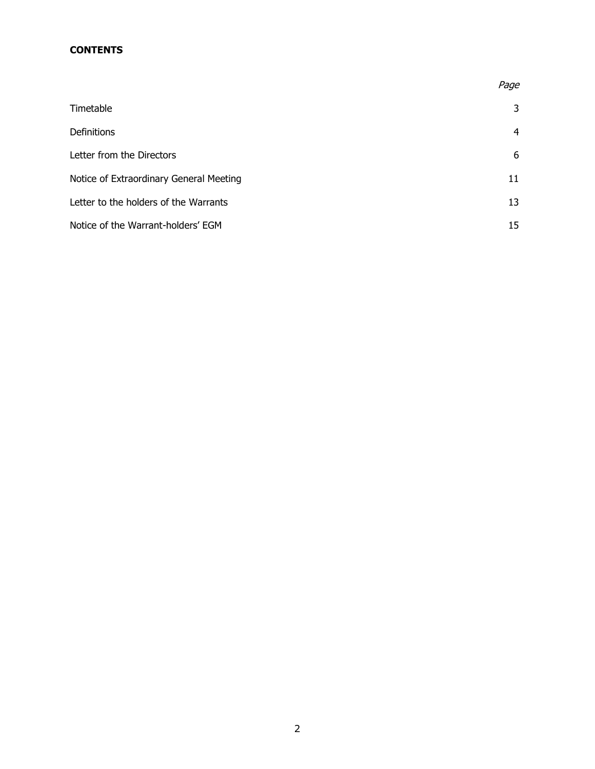## **CONTENTS**

|                                         | Page |
|-----------------------------------------|------|
| Timetable                               | 3    |
| Definitions                             | 4    |
| Letter from the Directors               | 6    |
| Notice of Extraordinary General Meeting | 11   |
| Letter to the holders of the Warrants   | 13   |
| Notice of the Warrant-holders' EGM      | 15   |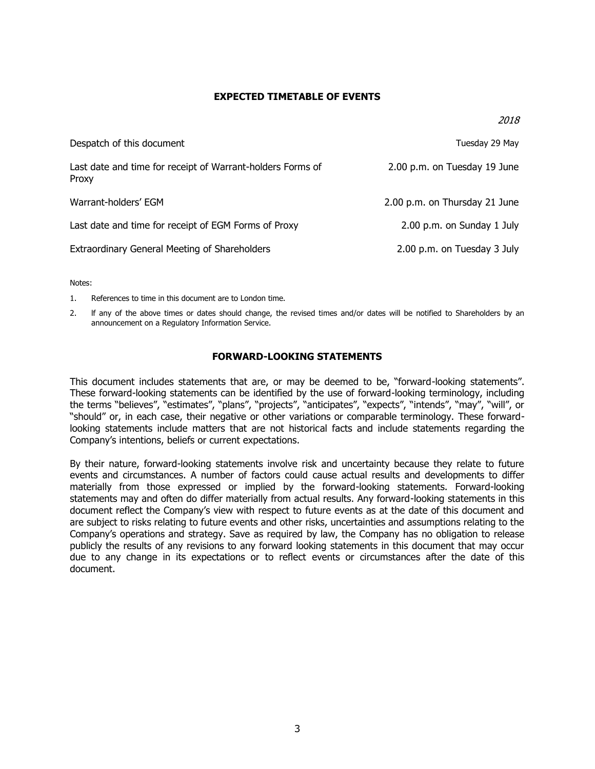## **EXPECTED TIMETABLE OF EVENTS**

| Despatch of this document                                           | Tuesday 29 May                |
|---------------------------------------------------------------------|-------------------------------|
| Last date and time for receipt of Warrant-holders Forms of<br>Proxy | 2.00 p.m. on Tuesday 19 June  |
| Warrant-holders' EGM                                                | 2.00 p.m. on Thursday 21 June |
| Last date and time for receipt of EGM Forms of Proxy                | 2.00 p.m. on Sunday 1 July    |
| Extraordinary General Meeting of Shareholders                       | 2.00 p.m. on Tuesday 3 July   |

Notes:

1. References to time in this document are to London time.

2. lf any of the above times or dates should change, the revised times and/or dates will be notified to Shareholders by an announcement on a Regulatory Information Service.

## **FORWARD-LOOKING STATEMENTS**

This document includes statements that are, or may be deemed to be, "forward-looking statements". These forward-looking statements can be identified by the use of forward-looking terminology, including the terms "believes", "estimates", "plans", "projects", "anticipates", "expects", "intends", "may", "will", or "should" or, in each case, their negative or other variations or comparable terminology. These forwardlooking statements include matters that are not historical facts and include statements regarding the Company's intentions, beliefs or current expectations.

By their nature, forward-looking statements involve risk and uncertainty because they relate to future events and circumstances. A number of factors could cause actual results and developments to differ materially from those expressed or implied by the forward-looking statements. Forward-looking statements may and often do differ materially from actual results. Any forward-looking statements in this document reflect the Company's view with respect to future events as at the date of this document and are subject to risks relating to future events and other risks, uncertainties and assumptions relating to the Company's operations and strategy. Save as required by law, the Company has no obligation to release publicly the results of any revisions to any forward looking statements in this document that may occur due to any change in its expectations or to reflect events or circumstances after the date of this document.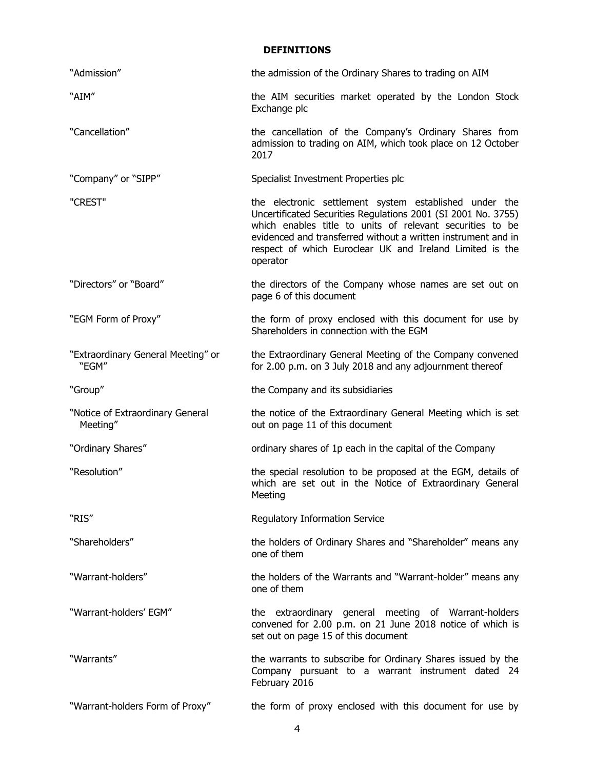## **DEFINITIONS**

| "Admission"                                  | the admission of the Ordinary Shares to trading on AIM                                                                                                                                                                                                                                                                        |  |
|----------------------------------------------|-------------------------------------------------------------------------------------------------------------------------------------------------------------------------------------------------------------------------------------------------------------------------------------------------------------------------------|--|
| "AIM"                                        | the AIM securities market operated by the London Stock<br>Exchange plc                                                                                                                                                                                                                                                        |  |
| "Cancellation"                               | the cancellation of the Company's Ordinary Shares from<br>admission to trading on AIM, which took place on 12 October<br>2017                                                                                                                                                                                                 |  |
| "Company" or "SIPP"                          | Specialist Investment Properties plc                                                                                                                                                                                                                                                                                          |  |
| "CREST"                                      | the electronic settlement system established under the<br>Uncertificated Securities Regulations 2001 (SI 2001 No. 3755)<br>which enables title to units of relevant securities to be<br>evidenced and transferred without a written instrument and in<br>respect of which Euroclear UK and Ireland Limited is the<br>operator |  |
| "Directors" or "Board"                       | the directors of the Company whose names are set out on<br>page 6 of this document                                                                                                                                                                                                                                            |  |
| "EGM Form of Proxy"                          | the form of proxy enclosed with this document for use by<br>Shareholders in connection with the EGM                                                                                                                                                                                                                           |  |
| "Extraordinary General Meeting" or<br>"EGM"  | the Extraordinary General Meeting of the Company convened<br>for 2.00 p.m. on 3 July 2018 and any adjournment thereof                                                                                                                                                                                                         |  |
| "Group"                                      | the Company and its subsidiaries                                                                                                                                                                                                                                                                                              |  |
| "Notice of Extraordinary General<br>Meeting" | the notice of the Extraordinary General Meeting which is set<br>out on page 11 of this document                                                                                                                                                                                                                               |  |
| "Ordinary Shares"                            | ordinary shares of 1p each in the capital of the Company                                                                                                                                                                                                                                                                      |  |
| "Resolution"                                 | the special resolution to be proposed at the EGM, details of<br>which are set out in the Notice of Extraordinary General<br>Meeting                                                                                                                                                                                           |  |
| "RIS"                                        | Regulatory Information Service                                                                                                                                                                                                                                                                                                |  |
| "Shareholders"                               | the holders of Ordinary Shares and "Shareholder" means any<br>one of them                                                                                                                                                                                                                                                     |  |
| "Warrant-holders"                            | the holders of the Warrants and "Warrant-holder" means any<br>one of them                                                                                                                                                                                                                                                     |  |
| "Warrant-holders' EGM"                       | the extraordinary general meeting of Warrant-holders<br>convened for 2.00 p.m. on 21 June 2018 notice of which is<br>set out on page 15 of this document                                                                                                                                                                      |  |
| "Warrants"                                   | the warrants to subscribe for Ordinary Shares issued by the<br>Company pursuant to a warrant instrument dated 24<br>February 2016                                                                                                                                                                                             |  |
| "Warrant-holders Form of Proxy"              | the form of proxy enclosed with this document for use by                                                                                                                                                                                                                                                                      |  |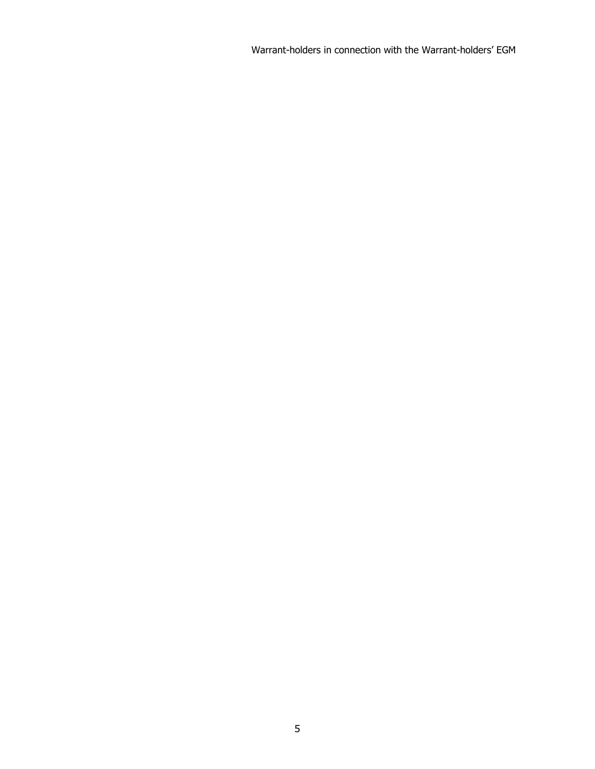Warrant-holders in connection with the Warrant-holders' EGM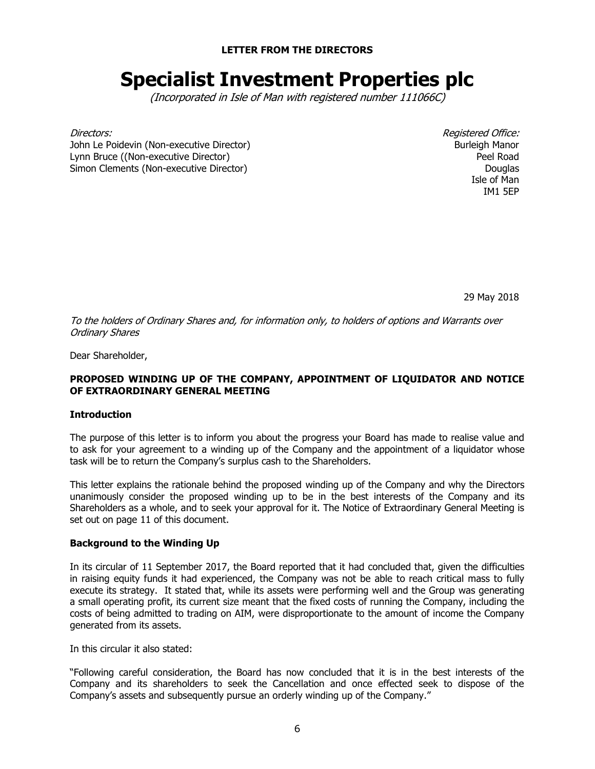**LETTER FROM THE DIRECTORS**

# **Specialist Investment Properties plc**

(Incorporated in Isle of Man with registered number 111066C)

John Le Poidevin (Non-executive Director) Lynn Bruce ((Non-executive Director) Simon Clements (Non-executive Director)

Directors: Registered Office: Burleigh Manor Peel Road **Douglas** Isle of Man IM1 5EP

29 May 2018

To the holders of Ordinary Shares and, for information only, to holders of options and Warrants over Ordinary Shares

Dear Shareholder,

## **PROPOSED WINDING UP OF THE COMPANY, APPOINTMENT OF LIQUIDATOR AND NOTICE OF EXTRAORDINARY GENERAL MEETING**

## **Introduction**

The purpose of this letter is to inform you about the progress your Board has made to realise value and to ask for your agreement to a winding up of the Company and the appointment of a liquidator whose task will be to return the Company's surplus cash to the Shareholders.

This letter explains the rationale behind the proposed winding up of the Company and why the Directors unanimously consider the proposed winding up to be in the best interests of the Company and its Shareholders as a whole, and to seek your approval for it. The Notice of Extraordinary General Meeting is set out on page 11 of this document.

#### **Background to the Winding Up**

In its circular of 11 September 2017, the Board reported that it had concluded that, given the difficulties in raising equity funds it had experienced, the Company was not be able to reach critical mass to fully execute its strategy. It stated that, while its assets were performing well and the Group was generating a small operating profit, its current size meant that the fixed costs of running the Company, including the costs of being admitted to trading on AIM, were disproportionate to the amount of income the Company generated from its assets.

In this circular it also stated:

"Following careful consideration, the Board has now concluded that it is in the best interests of the Company and its shareholders to seek the Cancellation and once effected seek to dispose of the Company's assets and subsequently pursue an orderly winding up of the Company."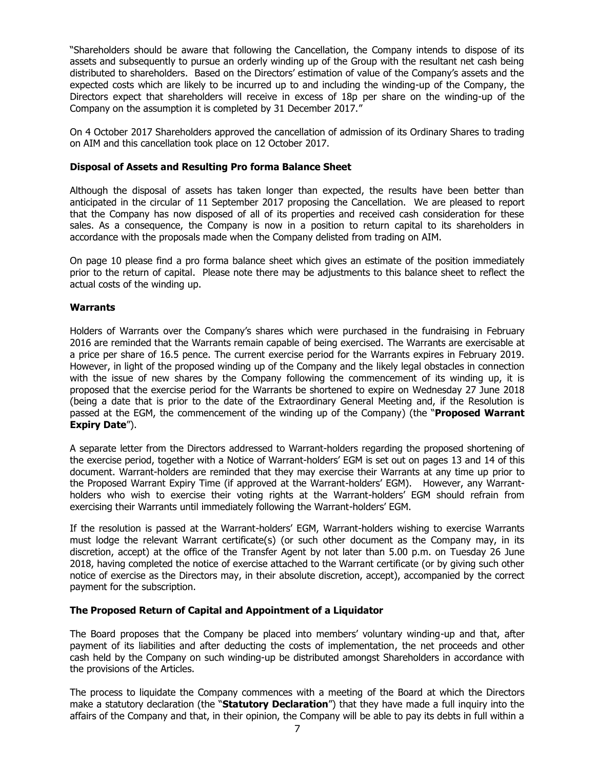"Shareholders should be aware that following the Cancellation, the Company intends to dispose of its assets and subsequently to pursue an orderly winding up of the Group with the resultant net cash being distributed to shareholders. Based on the Directors' estimation of value of the Company's assets and the expected costs which are likely to be incurred up to and including the winding-up of the Company, the Directors expect that shareholders will receive in excess of 18p per share on the winding-up of the Company on the assumption it is completed by 31 December 2017."

On 4 October 2017 Shareholders approved the cancellation of admission of its Ordinary Shares to trading on AIM and this cancellation took place on 12 October 2017.

## **Disposal of Assets and Resulting Pro forma Balance Sheet**

Although the disposal of assets has taken longer than expected, the results have been better than anticipated in the circular of 11 September 2017 proposing the Cancellation. We are pleased to report that the Company has now disposed of all of its properties and received cash consideration for these sales. As a consequence, the Company is now in a position to return capital to its shareholders in accordance with the proposals made when the Company delisted from trading on AIM.

On page 10 please find a pro forma balance sheet which gives an estimate of the position immediately prior to the return of capital. Please note there may be adjustments to this balance sheet to reflect the actual costs of the winding up.

## **Warrants**

Holders of Warrants over the Company's shares which were purchased in the fundraising in February 2016 are reminded that the Warrants remain capable of being exercised. The Warrants are exercisable at a price per share of 16.5 pence. The current exercise period for the Warrants expires in February 2019. However, in light of the proposed winding up of the Company and the likely legal obstacles in connection with the issue of new shares by the Company following the commencement of its winding up, it is proposed that the exercise period for the Warrants be shortened to expire on Wednesday 27 June 2018 (being a date that is prior to the date of the Extraordinary General Meeting and, if the Resolution is passed at the EGM, the commencement of the winding up of the Company) (the "**Proposed Warrant Expiry Date**").

A separate letter from the Directors addressed to Warrant-holders regarding the proposed shortening of the exercise period, together with a Notice of Warrant-holders' EGM is set out on pages 13 and 14 of this document. Warrant-holders are reminded that they may exercise their Warrants at any time up prior to the Proposed Warrant Expiry Time (if approved at the Warrant-holders' EGM). However, any Warrantholders who wish to exercise their voting rights at the Warrant-holders' EGM should refrain from exercising their Warrants until immediately following the Warrant-holders' EGM.

If the resolution is passed at the Warrant-holders' EGM, Warrant-holders wishing to exercise Warrants must lodge the relevant Warrant certificate(s) (or such other document as the Company may, in its discretion, accept) at the office of the Transfer Agent by not later than 5.00 p.m. on Tuesday 26 June 2018, having completed the notice of exercise attached to the Warrant certificate (or by giving such other notice of exercise as the Directors may, in their absolute discretion, accept), accompanied by the correct payment for the subscription.

#### **The Proposed Return of Capital and Appointment of a Liquidator**

The Board proposes that the Company be placed into members' voluntary winding-up and that, after payment of its liabilities and after deducting the costs of implementation, the net proceeds and other cash held by the Company on such winding-up be distributed amongst Shareholders in accordance with the provisions of the Articles.

The process to liquidate the Company commences with a meeting of the Board at which the Directors make a statutory declaration (the "**Statutory Declaration**") that they have made a full inquiry into the affairs of the Company and that, in their opinion, the Company will be able to pay its debts in full within a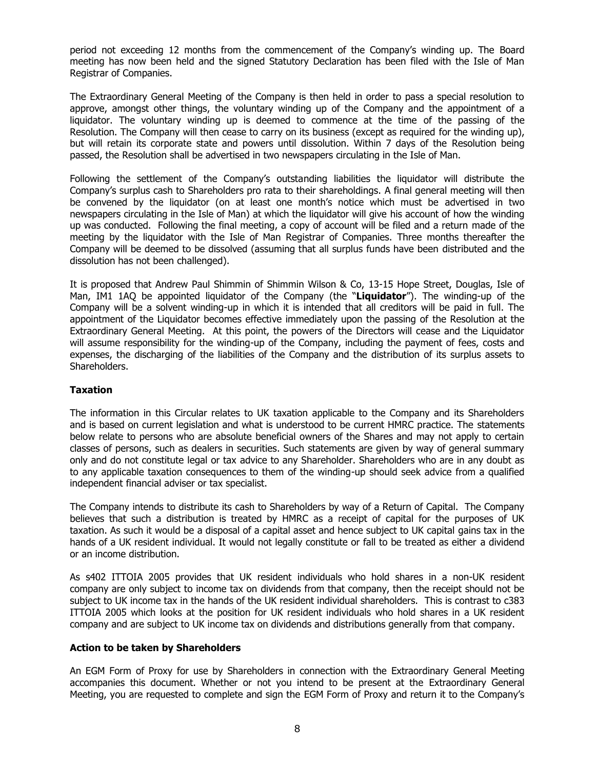period not exceeding 12 months from the commencement of the Company's winding up. The Board meeting has now been held and the signed Statutory Declaration has been filed with the Isle of Man Registrar of Companies.

The Extraordinary General Meeting of the Company is then held in order to pass a special resolution to approve, amongst other things, the voluntary winding up of the Company and the appointment of a liquidator. The voluntary winding up is deemed to commence at the time of the passing of the Resolution. The Company will then cease to carry on its business (except as required for the winding up), but will retain its corporate state and powers until dissolution. Within 7 days of the Resolution being passed, the Resolution shall be advertised in two newspapers circulating in the Isle of Man.

Following the settlement of the Company's outstanding liabilities the liquidator will distribute the Company's surplus cash to Shareholders pro rata to their shareholdings. A final general meeting will then be convened by the liquidator (on at least one month's notice which must be advertised in two newspapers circulating in the Isle of Man) at which the liquidator will give his account of how the winding up was conducted. Following the final meeting, a copy of account will be filed and a return made of the meeting by the liquidator with the Isle of Man Registrar of Companies. Three months thereafter the Company will be deemed to be dissolved (assuming that all surplus funds have been distributed and the dissolution has not been challenged).

It is proposed that Andrew Paul Shimmin of Shimmin Wilson & Co, 13-15 Hope Street, Douglas, Isle of Man, IM1 1AQ be appointed liquidator of the Company (the "**Liquidator**"). The winding-up of the Company will be a solvent winding-up in which it is intended that all creditors will be paid in full. The appointment of the Liquidator becomes effective immediately upon the passing of the Resolution at the Extraordinary General Meeting. At this point, the powers of the Directors will cease and the Liquidator will assume responsibility for the winding-up of the Company, including the payment of fees, costs and expenses, the discharging of the liabilities of the Company and the distribution of its surplus assets to Shareholders.

## **Taxation**

The information in this Circular relates to UK taxation applicable to the Company and its Shareholders and is based on current legislation and what is understood to be current HMRC practice. The statements below relate to persons who are absolute beneficial owners of the Shares and may not apply to certain classes of persons, such as dealers in securities. Such statements are given by way of general summary only and do not constitute legal or tax advice to any Shareholder. Shareholders who are in any doubt as to any applicable taxation consequences to them of the winding-up should seek advice from a qualified independent financial adviser or tax specialist.

The Company intends to distribute its cash to Shareholders by way of a Return of Capital. The Company believes that such a distribution is treated by HMRC as a receipt of capital for the purposes of UK taxation. As such it would be a disposal of a capital asset and hence subject to UK capital gains tax in the hands of a UK resident individual. It would not legally constitute or fall to be treated as either a dividend or an income distribution.

As s402 ITTOIA 2005 provides that UK resident individuals who hold shares in a non-UK resident company are only subject to income tax on dividends from that company, then the receipt should not be subject to UK income tax in the hands of the UK resident individual shareholders. This is contrast to c383 ITTOIA 2005 which looks at the position for UK resident individuals who hold shares in a UK resident company and are subject to UK income tax on dividends and distributions generally from that company.

## **Action to be taken by Shareholders**

An EGM Form of Proxy for use by Shareholders in connection with the Extraordinary General Meeting accompanies this document. Whether or not you intend to be present at the Extraordinary General Meeting, you are requested to complete and sign the EGM Form of Proxy and return it to the Company's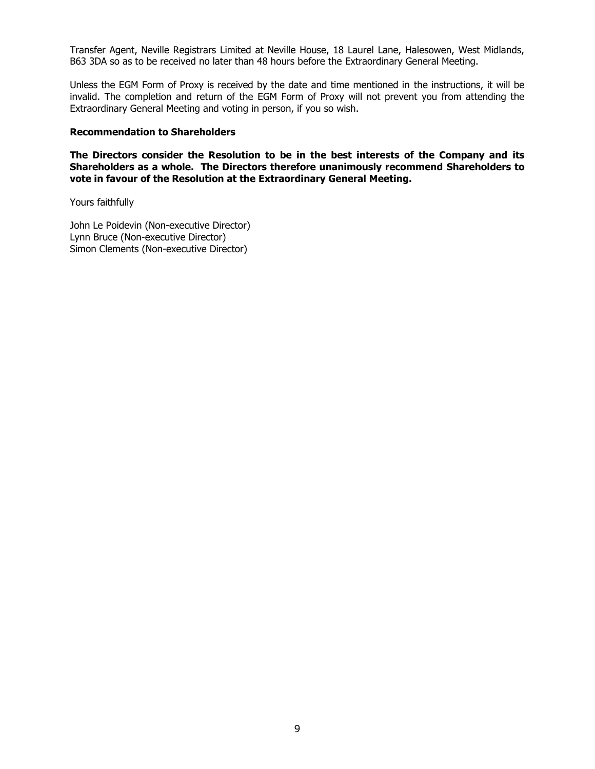Transfer Agent, Neville Registrars Limited at Neville House, 18 Laurel Lane, Halesowen, West Midlands, B63 3DA so as to be received no later than 48 hours before the Extraordinary General Meeting.

Unless the EGM Form of Proxy is received by the date and time mentioned in the instructions, it will be invalid. The completion and return of the EGM Form of Proxy will not prevent you from attending the Extraordinary General Meeting and voting in person, if you so wish.

#### **Recommendation to Shareholders**

**The Directors consider the Resolution to be in the best interests of the Company and its Shareholders as a whole. The Directors therefore unanimously recommend Shareholders to vote in favour of the Resolution at the Extraordinary General Meeting.** 

Yours faithfully

John Le Poidevin (Non-executive Director) Lynn Bruce (Non-executive Director) Simon Clements (Non-executive Director)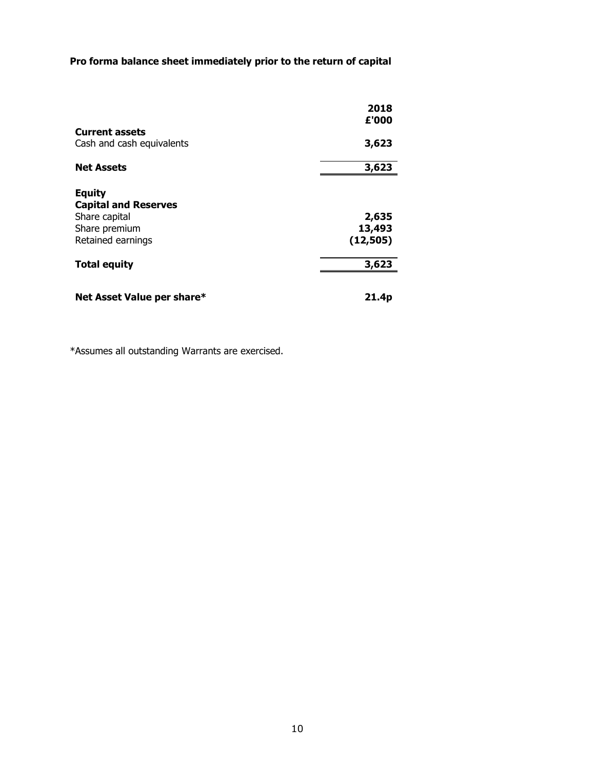# **Pro forma balance sheet immediately prior to the return of capital**

|                             | 2018<br>£'000 |
|-----------------------------|---------------|
| <b>Current assets</b>       |               |
| Cash and cash equivalents   | 3,623         |
| <b>Net Assets</b>           | 3,623         |
| <b>Equity</b>               |               |
| <b>Capital and Reserves</b> |               |
| Share capital               | 2,635         |
| Share premium               | 13,493        |
| Retained earnings           | (12, 505)     |
| <b>Total equity</b>         | 3,623         |
| Net Asset Value per share*  | 21.4p         |

\*Assumes all outstanding Warrants are exercised.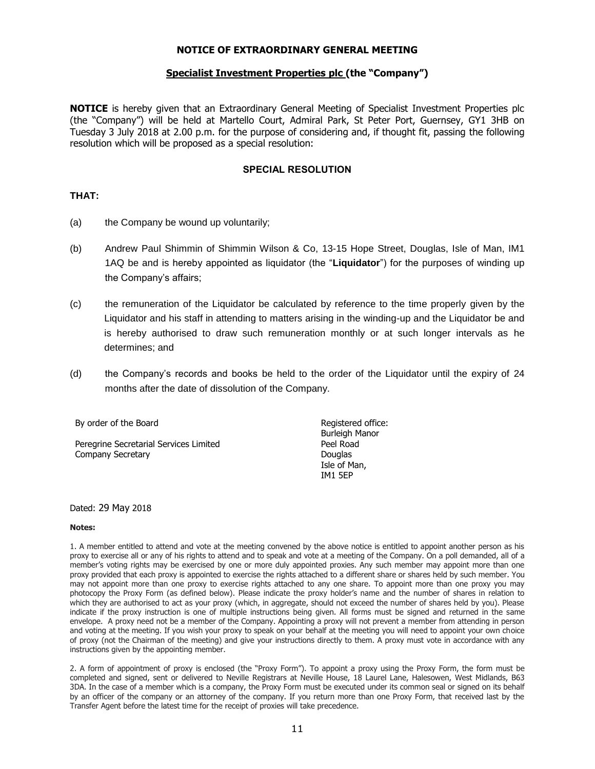#### **NOTICE OF EXTRAORDINARY GENERAL MEETING**

#### **Specialist Investment Properties plc (the "Company")**

**NOTICE** is hereby given that an Extraordinary General Meeting of Specialist Investment Properties plc (the "Company") will be held at Martello Court, Admiral Park, St Peter Port, Guernsey, GY1 3HB on Tuesday 3 July 2018 at 2.00 p.m. for the purpose of considering and, if thought fit, passing the following resolution which will be proposed as a special resolution:

#### **SPECIAL RESOLUTION**

#### **THAT:**

- (a) the Company be wound up voluntarily;
- (b) Andrew Paul Shimmin of Shimmin Wilson & Co, 13-15 Hope Street, Douglas, Isle of Man, IM1 1AQ be and is hereby appointed as liquidator (the "**Liquidator**") for the purposes of winding up the Company's affairs;
- (c) the remuneration of the Liquidator be calculated by reference to the time properly given by the Liquidator and his staff in attending to matters arising in the winding-up and the Liquidator be and is hereby authorised to draw such remuneration monthly or at such longer intervals as he determines; and
- (d) the Company's records and books be held to the order of the Liquidator until the expiry of 24 months after the date of dissolution of the Company.

| By order of the Board                  | Registered office: |
|----------------------------------------|--------------------|
|                                        | Burleigh Manor     |
| Peregrine Secretarial Services Limited | Peel Road          |
| Company Secretary                      | Douglas            |
|                                        | Isle of Man,       |
|                                        | <b>IM1 5FP</b>     |

#### Dated: 29 May 2018

#### **Notes:**

1. A member entitled to attend and vote at the meeting convened by the above notice is entitled to appoint another person as his proxy to exercise all or any of his rights to attend and to speak and vote at a meeting of the Company. On a poll demanded, all of a member's voting rights may be exercised by one or more duly appointed proxies. Any such member may appoint more than one proxy provided that each proxy is appointed to exercise the rights attached to a different share or shares held by such member. You may not appoint more than one proxy to exercise rights attached to any one share. To appoint more than one proxy you may photocopy the Proxy Form (as defined below). Please indicate the proxy holder's name and the number of shares in relation to which they are authorised to act as your proxy (which, in aggregate, should not exceed the number of shares held by you). Please indicate if the proxy instruction is one of multiple instructions being given. All forms must be signed and returned in the same envelope. A proxy need not be a member of the Company. Appointing a proxy will not prevent a member from attending in person and voting at the meeting. If you wish your proxy to speak on your behalf at the meeting you will need to appoint your own choice of proxy (not the Chairman of the meeting) and give your instructions directly to them. A proxy must vote in accordance with any instructions given by the appointing member.

2. A form of appointment of proxy is enclosed (the "Proxy Form"). To appoint a proxy using the Proxy Form, the form must be completed and signed, sent or delivered to Neville Registrars at Neville House, 18 Laurel Lane, Halesowen, West Midlands, B63 3DA. In the case of a member which is a company, the Proxy Form must be executed under its common seal or signed on its behalf by an officer of the company or an attorney of the company. If you return more than one Proxy Form, that received last by the Transfer Agent before the latest time for the receipt of proxies will take precedence.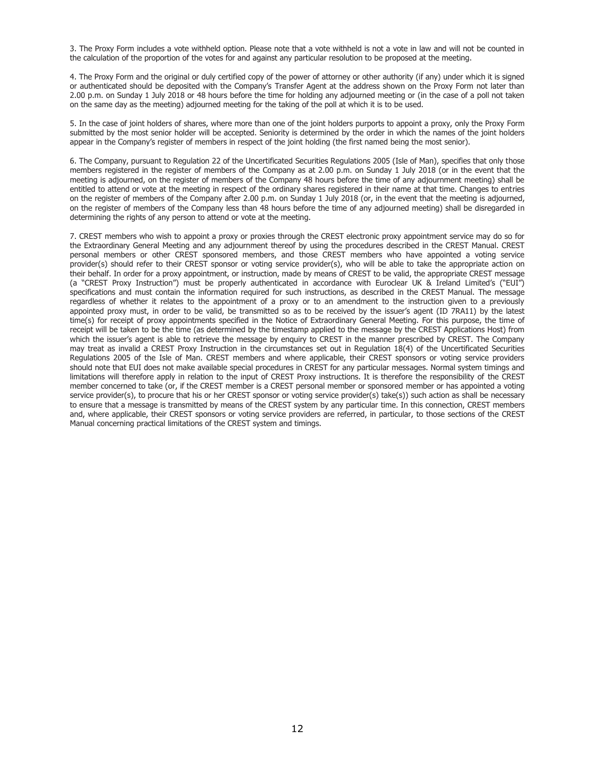3. The Proxy Form includes a vote withheld option. Please note that a vote withheld is not a vote in law and will not be counted in the calculation of the proportion of the votes for and against any particular resolution to be proposed at the meeting.

4. The Proxy Form and the original or duly certified copy of the power of attorney or other authority (if any) under which it is signed or authenticated should be deposited with the Company's Transfer Agent at the address shown on the Proxy Form not later than 2.00 p.m. on Sunday 1 July 2018 or 48 hours before the time for holding any adjourned meeting or (in the case of a poll not taken on the same day as the meeting) adjourned meeting for the taking of the poll at which it is to be used.

5. In the case of joint holders of shares, where more than one of the joint holders purports to appoint a proxy, only the Proxy Form submitted by the most senior holder will be accepted. Seniority is determined by the order in which the names of the joint holders appear in the Company's register of members in respect of the joint holding (the first named being the most senior).

6. The Company, pursuant to Regulation 22 of the Uncertificated Securities Regulations 2005 (Isle of Man), specifies that only those members registered in the register of members of the Company as at 2.00 p.m. on Sunday 1 July 2018 (or in the event that the meeting is adjourned, on the register of members of the Company 48 hours before the time of any adjournment meeting) shall be entitled to attend or vote at the meeting in respect of the ordinary shares registered in their name at that time. Changes to entries on the register of members of the Company after 2.00 p.m. on Sunday 1 July 2018 (or, in the event that the meeting is adjourned, on the register of members of the Company less than 48 hours before the time of any adjourned meeting) shall be disregarded in determining the rights of any person to attend or vote at the meeting.

7. CREST members who wish to appoint a proxy or proxies through the CREST electronic proxy appointment service may do so for the Extraordinary General Meeting and any adjournment thereof by using the procedures described in the CREST Manual. CREST personal members or other CREST sponsored members, and those CREST members who have appointed a voting service provider(s) should refer to their CREST sponsor or voting service provider(s), who will be able to take the appropriate action on their behalf. In order for a proxy appointment, or instruction, made by means of CREST to be valid, the appropriate CREST message (a "CREST Proxy Instruction") must be properly authenticated in accordance with Euroclear UK & Ireland Limited's ("EUI") specifications and must contain the information required for such instructions, as described in the CREST Manual. The message regardless of whether it relates to the appointment of a proxy or to an amendment to the instruction given to a previously appointed proxy must, in order to be valid, be transmitted so as to be received by the issuer's agent (ID 7RA11) by the latest time(s) for receipt of proxy appointments specified in the Notice of Extraordinary General Meeting. For this purpose, the time of receipt will be taken to be the time (as determined by the timestamp applied to the message by the CREST Applications Host) from which the issuer's agent is able to retrieve the message by enquiry to CREST in the manner prescribed by CREST. The Company may treat as invalid a CREST Proxy Instruction in the circumstances set out in Regulation 18(4) of the Uncertificated Securities Regulations 2005 of the Isle of Man. CREST members and where applicable, their CREST sponsors or voting service providers should note that EUI does not make available special procedures in CREST for any particular messages. Normal system timings and limitations will therefore apply in relation to the input of CREST Proxy instructions. It is therefore the responsibility of the CREST member concerned to take (or, if the CREST member is a CREST personal member or sponsored member or has appointed a voting service provider(s), to procure that his or her CREST sponsor or voting service provider(s) take(s)) such action as shall be necessary to ensure that a message is transmitted by means of the CREST system by any particular time. In this connection, CREST members and, where applicable, their CREST sponsors or voting service providers are referred, in particular, to those sections of the CREST Manual concerning practical limitations of the CREST system and timings.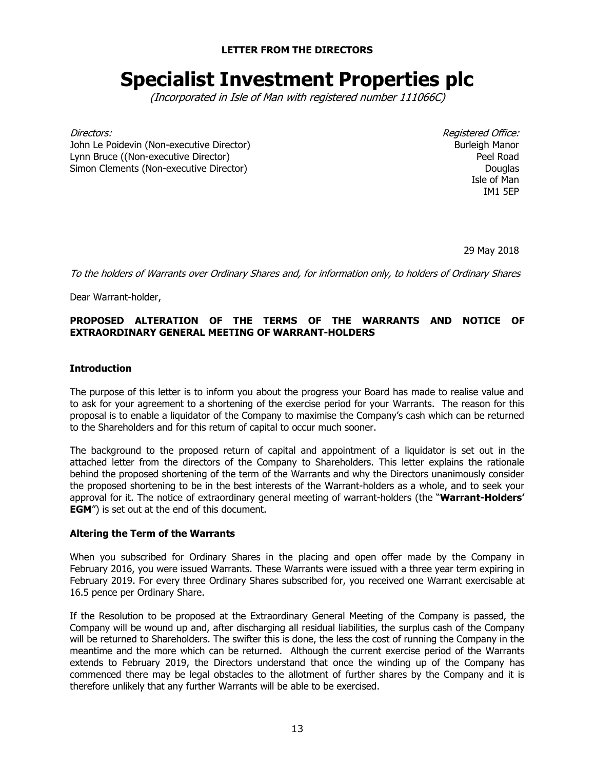**LETTER FROM THE DIRECTORS**

# **Specialist Investment Properties plc**

(Incorporated in Isle of Man with registered number 111066C)

Directors: Registered Office: John Le Poidevin (Non-executive Director) Lynn Bruce ((Non-executive Director) Simon Clements (Non-executive Director)

Burleigh Manor Peel Road **Douglas** Isle of Man IM1 5EP

29 May 2018

To the holders of Warrants over Ordinary Shares and, for information only, to holders of Ordinary Shares

Dear Warrant-holder,

## **PROPOSED ALTERATION OF THE TERMS OF THE WARRANTS AND NOTICE OF EXTRAORDINARY GENERAL MEETING OF WARRANT-HOLDERS**

## **Introduction**

The purpose of this letter is to inform you about the progress your Board has made to realise value and to ask for your agreement to a shortening of the exercise period for your Warrants. The reason for this proposal is to enable a liquidator of the Company to maximise the Company's cash which can be returned to the Shareholders and for this return of capital to occur much sooner.

The background to the proposed return of capital and appointment of a liquidator is set out in the attached letter from the directors of the Company to Shareholders. This letter explains the rationale behind the proposed shortening of the term of the Warrants and why the Directors unanimously consider the proposed shortening to be in the best interests of the Warrant-holders as a whole, and to seek your approval for it. The notice of extraordinary general meeting of warrant-holders (the "**Warrant-Holders' EGM**") is set out at the end of this document.

#### **Altering the Term of the Warrants**

When you subscribed for Ordinary Shares in the placing and open offer made by the Company in February 2016, you were issued Warrants. These Warrants were issued with a three year term expiring in February 2019. For every three Ordinary Shares subscribed for, you received one Warrant exercisable at 16.5 pence per Ordinary Share.

If the Resolution to be proposed at the Extraordinary General Meeting of the Company is passed, the Company will be wound up and, after discharging all residual liabilities, the surplus cash of the Company will be returned to Shareholders. The swifter this is done, the less the cost of running the Company in the meantime and the more which can be returned. Although the current exercise period of the Warrants extends to February 2019, the Directors understand that once the winding up of the Company has commenced there may be legal obstacles to the allotment of further shares by the Company and it is therefore unlikely that any further Warrants will be able to be exercised.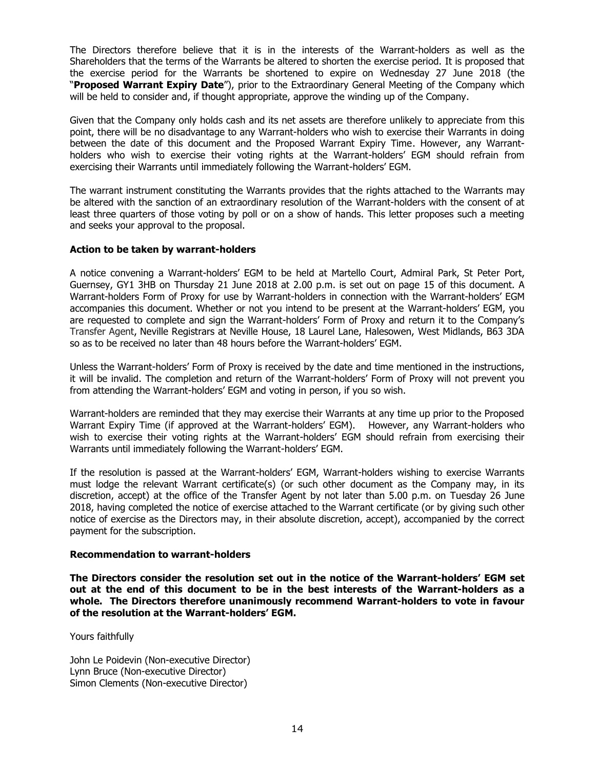The Directors therefore believe that it is in the interests of the Warrant-holders as well as the Shareholders that the terms of the Warrants be altered to shorten the exercise period. It is proposed that the exercise period for the Warrants be shortened to expire on Wednesday 27 June 2018 (the "**Proposed Warrant Expiry Date**"), prior to the Extraordinary General Meeting of the Company which will be held to consider and, if thought appropriate, approve the winding up of the Company.

Given that the Company only holds cash and its net assets are therefore unlikely to appreciate from this point, there will be no disadvantage to any Warrant-holders who wish to exercise their Warrants in doing between the date of this document and the Proposed Warrant Expiry Time. However, any Warrantholders who wish to exercise their voting rights at the Warrant-holders' EGM should refrain from exercising their Warrants until immediately following the Warrant-holders' EGM.

The warrant instrument constituting the Warrants provides that the rights attached to the Warrants may be altered with the sanction of an extraordinary resolution of the Warrant-holders with the consent of at least three quarters of those voting by poll or on a show of hands. This letter proposes such a meeting and seeks your approval to the proposal.

## **Action to be taken by warrant-holders**

A notice convening a Warrant-holders' EGM to be held at Martello Court, Admiral Park, St Peter Port, Guernsey, GY1 3HB on Thursday 21 June 2018 at 2.00 p.m. is set out on page 15 of this document. A Warrant-holders Form of Proxy for use by Warrant-holders in connection with the Warrant-holders' EGM accompanies this document. Whether or not you intend to be present at the Warrant-holders' EGM, you are requested to complete and sign the Warrant-holders' Form of Proxy and return it to the Company's Transfer Agent, Neville Registrars at Neville House, 18 Laurel Lane, Halesowen, West Midlands, B63 3DA so as to be received no later than 48 hours before the Warrant-holders' EGM.

Unless the Warrant-holders' Form of Proxy is received by the date and time mentioned in the instructions, it will be invalid. The completion and return of the Warrant-holders' Form of Proxy will not prevent you from attending the Warrant-holders' EGM and voting in person, if you so wish.

Warrant-holders are reminded that they may exercise their Warrants at any time up prior to the Proposed Warrant Expiry Time (if approved at the Warrant-holders' EGM). However, any Warrant-holders who wish to exercise their voting rights at the Warrant-holders' EGM should refrain from exercising their Warrants until immediately following the Warrant-holders' EGM.

If the resolution is passed at the Warrant-holders' EGM, Warrant-holders wishing to exercise Warrants must lodge the relevant Warrant certificate(s) (or such other document as the Company may, in its discretion, accept) at the office of the Transfer Agent by not later than 5.00 p.m. on Tuesday 26 June 2018, having completed the notice of exercise attached to the Warrant certificate (or by giving such other notice of exercise as the Directors may, in their absolute discretion, accept), accompanied by the correct payment for the subscription.

#### **Recommendation to warrant-holders**

**The Directors consider the resolution set out in the notice of the Warrant-holders' EGM set out at the end of this document to be in the best interests of the Warrant-holders as a whole. The Directors therefore unanimously recommend Warrant-holders to vote in favour of the resolution at the Warrant-holders' EGM.** 

Yours faithfully

John Le Poidevin (Non-executive Director) Lynn Bruce (Non-executive Director) Simon Clements (Non-executive Director)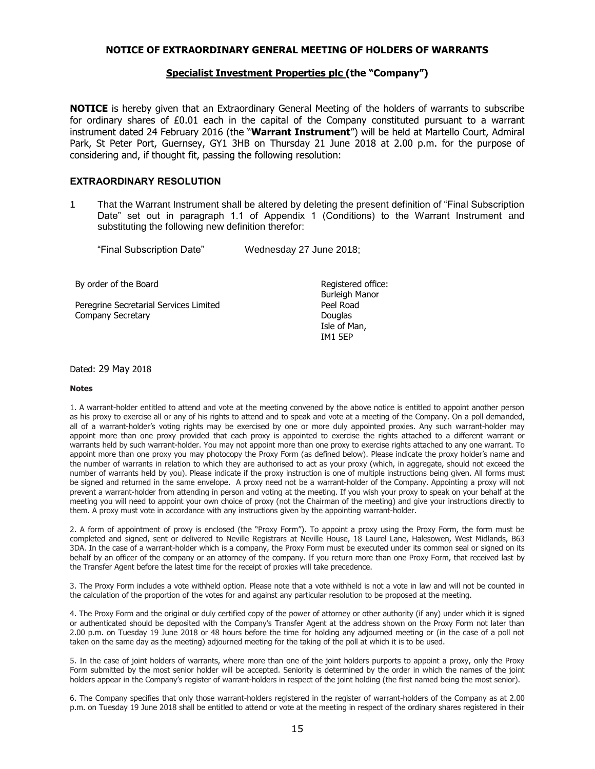#### **NOTICE OF EXTRAORDINARY GENERAL MEETING OF HOLDERS OF WARRANTS**

#### **Specialist Investment Properties plc (the "Company")**

**NOTICE** is hereby given that an Extraordinary General Meeting of the holders of warrants to subscribe for ordinary shares of £0.01 each in the capital of the Company constituted pursuant to a warrant instrument dated 24 February 2016 (the "**Warrant Instrument**") will be held at Martello Court, Admiral Park, St Peter Port, Guernsey, GY1 3HB on Thursday 21 June 2018 at 2.00 p.m. for the purpose of considering and, if thought fit, passing the following resolution:

#### **EXTRAORDINARY RESOLUTION**

1 That the Warrant Instrument shall be altered by deleting the present definition of "Final Subscription Date" set out in paragraph 1.1 of Appendix 1 (Conditions) to the Warrant Instrument and substituting the following new definition therefor:

|  | "Final Subscription Date" |  |  | Wednesday 27 June 2018; |
|--|---------------------------|--|--|-------------------------|
|--|---------------------------|--|--|-------------------------|

By order of the Board **Registered office: Registered office:** 

Peregrine Secretarial Services Limited **Peel Road** Company Secretary **Douglas** 

Burleigh Manor Isle of Man, IM1 5EP

#### Dated: 29 May 2018

#### **Notes**

1. A warrant-holder entitled to attend and vote at the meeting convened by the above notice is entitled to appoint another person as his proxy to exercise all or any of his rights to attend and to speak and vote at a meeting of the Company. On a poll demanded, all of a warrant-holder's voting rights may be exercised by one or more duly appointed proxies. Any such warrant-holder may appoint more than one proxy provided that each proxy is appointed to exercise the rights attached to a different warrant or warrants held by such warrant-holder. You may not appoint more than one proxy to exercise rights attached to any one warrant. To appoint more than one proxy you may photocopy the Proxy Form (as defined below). Please indicate the proxy holder's name and the number of warrants in relation to which they are authorised to act as your proxy (which, in aggregate, should not exceed the number of warrants held by you). Please indicate if the proxy instruction is one of multiple instructions being given. All forms must be signed and returned in the same envelope. A proxy need not be a warrant-holder of the Company. Appointing a proxy will not prevent a warrant-holder from attending in person and voting at the meeting. If you wish your proxy to speak on your behalf at the meeting you will need to appoint your own choice of proxy (not the Chairman of the meeting) and give your instructions directly to them. A proxy must vote in accordance with any instructions given by the appointing warrant-holder.

2. A form of appointment of proxy is enclosed (the "Proxy Form"). To appoint a proxy using the Proxy Form, the form must be completed and signed, sent or delivered to Neville Registrars at Neville House, 18 Laurel Lane, Halesowen, West Midlands, B63 3DA. In the case of a warrant-holder which is a company, the Proxy Form must be executed under its common seal or signed on its behalf by an officer of the company or an attorney of the company. If you return more than one Proxy Form, that received last by the Transfer Agent before the latest time for the receipt of proxies will take precedence.

3. The Proxy Form includes a vote withheld option. Please note that a vote withheld is not a vote in law and will not be counted in the calculation of the proportion of the votes for and against any particular resolution to be proposed at the meeting.

4. The Proxy Form and the original or duly certified copy of the power of attorney or other authority (if any) under which it is signed or authenticated should be deposited with the Company's Transfer Agent at the address shown on the Proxy Form not later than 2.00 p.m. on Tuesday 19 June 2018 or 48 hours before the time for holding any adjourned meeting or (in the case of a poll not taken on the same day as the meeting) adjourned meeting for the taking of the poll at which it is to be used.

5. In the case of joint holders of warrants, where more than one of the joint holders purports to appoint a proxy, only the Proxy Form submitted by the most senior holder will be accepted. Seniority is determined by the order in which the names of the joint holders appear in the Company's register of warrant-holders in respect of the joint holding (the first named being the most senior).

6. The Company specifies that only those warrant-holders registered in the register of warrant-holders of the Company as at 2.00 p.m. on Tuesday 19 June 2018 shall be entitled to attend or vote at the meeting in respect of the ordinary shares registered in their